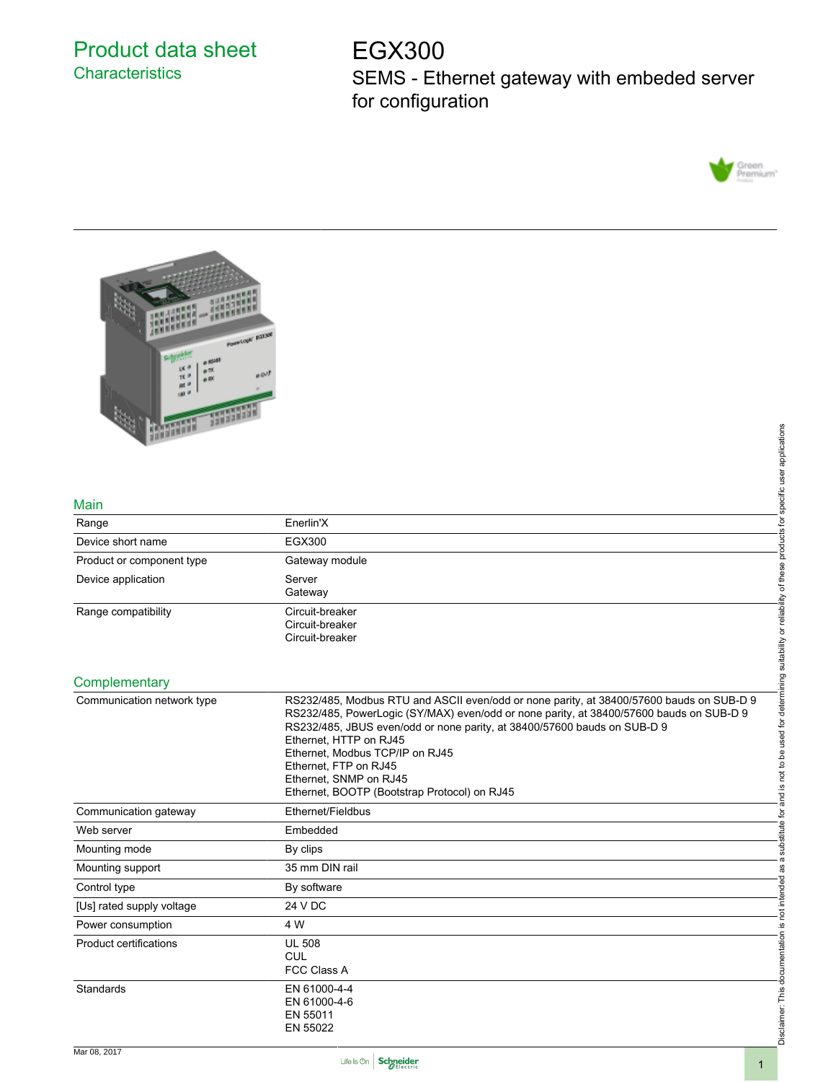## Product data sheet **Characteristics**

# EGX300

SEMS - Ethernet gateway with embeded server for configuration





#### Main

| Range                     | Enerlin'X                                             |  |
|---------------------------|-------------------------------------------------------|--|
| Device short name         | EGX300                                                |  |
| Product or component type | Gateway module                                        |  |
| Device application        | Server<br>Gateway                                     |  |
| Range compatibility       | Circuit-breaker<br>Circuit-breaker<br>Circuit-breaker |  |

#### **Complementary**

| 33am-                         |                                                                                                                                                                                                                                                                                                                                          |
|-------------------------------|------------------------------------------------------------------------------------------------------------------------------------------------------------------------------------------------------------------------------------------------------------------------------------------------------------------------------------------|
|                               | applications                                                                                                                                                                                                                                                                                                                             |
|                               |                                                                                                                                                                                                                                                                                                                                          |
|                               |                                                                                                                                                                                                                                                                                                                                          |
| Main                          | specific user                                                                                                                                                                                                                                                                                                                            |
| Range                         | ʻp<br>Enerlin'X                                                                                                                                                                                                                                                                                                                          |
| Device short name             | products<br><b>EGX300</b>                                                                                                                                                                                                                                                                                                                |
| Product or component type     | Gateway module                                                                                                                                                                                                                                                                                                                           |
| Device application            | Server                                                                                                                                                                                                                                                                                                                                   |
|                               | Gateway                                                                                                                                                                                                                                                                                                                                  |
| Range compatibility           | Circuit-breaker                                                                                                                                                                                                                                                                                                                          |
|                               | Circuit-breaker<br>Circuit-breaker                                                                                                                                                                                                                                                                                                       |
|                               |                                                                                                                                                                                                                                                                                                                                          |
|                               |                                                                                                                                                                                                                                                                                                                                          |
| Complementary                 |                                                                                                                                                                                                                                                                                                                                          |
| Communication network type    | is not to be used for determining suitability or reliability of these<br>RS232/485, Modbus RTU and ASCII even/odd or none parity, at 38400/57600 bauds on SUB-D 9<br>RS232/485, PowerLogic (SY/MAX) even/odd or none parity, at 38400/57600 bauds on SUB-D 9<br>RS232/485, JBUS even/odd or none parity, at 38400/57600 bauds on SUB-D 9 |
|                               | Ethernet, HTTP on RJ45<br>Ethernet. Modbus TCP/IP on RJ45                                                                                                                                                                                                                                                                                |
|                               | Ethernet, FTP on RJ45                                                                                                                                                                                                                                                                                                                    |
|                               | Ethernet, SNMP on RJ45<br>Ethernet, BOOTP (Bootstrap Protocol) on RJ45                                                                                                                                                                                                                                                                   |
| Communication gateway         | ene<br>an<br>Ethernet/Fieldbus                                                                                                                                                                                                                                                                                                           |
| Web server                    | ğ<br>Embedded                                                                                                                                                                                                                                                                                                                            |
| Mounting mode                 | substitute<br>By clips                                                                                                                                                                                                                                                                                                                   |
| Mounting support              | 35 mm DIN rail<br>æ                                                                                                                                                                                                                                                                                                                      |
| Control type                  | By software                                                                                                                                                                                                                                                                                                                              |
|                               | not intended<br>24 V DC                                                                                                                                                                                                                                                                                                                  |
| [Us] rated supply voltage     |                                                                                                                                                                                                                                                                                                                                          |
| Power consumption             | 4 W<br><u>.ഗ</u>                                                                                                                                                                                                                                                                                                                         |
| <b>Product certifications</b> | <b>UL 508</b><br><b>CUL</b>                                                                                                                                                                                                                                                                                                              |
|                               | <b>FCC Class A</b>                                                                                                                                                                                                                                                                                                                       |
| Standards                     | EN 61000-4-4                                                                                                                                                                                                                                                                                                                             |
|                               | EN 61000-4-6<br>EN 55011                                                                                                                                                                                                                                                                                                                 |
|                               | Disclaimer: This documentation<br>EN 55022                                                                                                                                                                                                                                                                                               |
|                               |                                                                                                                                                                                                                                                                                                                                          |

Disclaimer: This documentation is not intended as a substitute for and is not to be used for determining suitability or reliability of these products for specific user applications